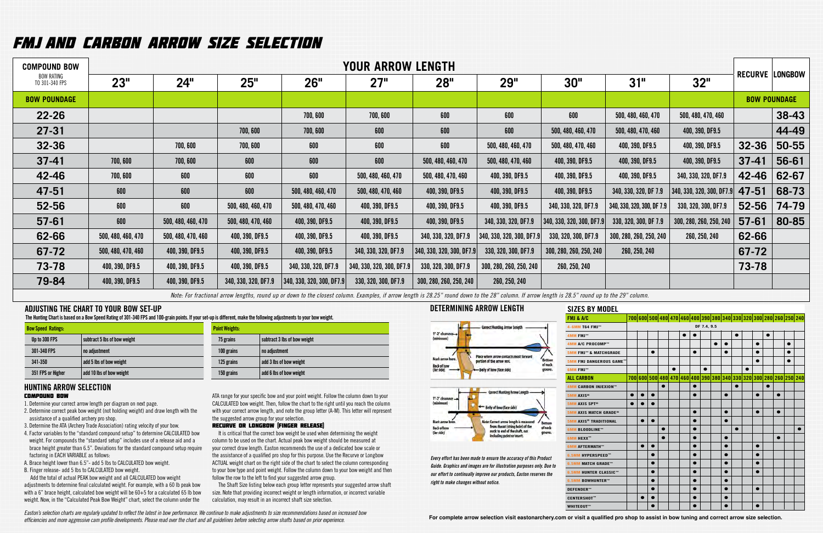# FMJ AND CARBON ARROW SIZE SELECTIOn

| <b>COMPOUND BOW</b>                 |                    |                    |                      |                                                                                                                                                                                                    | <b>YOUR ARROW LENGTH</b>  |                           |                           |                           |                            |                           |           |                        |  |
|-------------------------------------|--------------------|--------------------|----------------------|----------------------------------------------------------------------------------------------------------------------------------------------------------------------------------------------------|---------------------------|---------------------------|---------------------------|---------------------------|----------------------------|---------------------------|-----------|------------------------|--|
| <b>BOW RATING</b><br>TO 301-340 FPS | 23"                | 24"                | 25"                  | 26"                                                                                                                                                                                                | 27"                       | 28 <sup>''</sup>          | <b>29"</b>                | 30"                       | 31"                        | 32"                       |           | <b>RECURVE LONGBOW</b> |  |
| <b>BOW POUNDAGE</b>                 |                    |                    |                      |                                                                                                                                                                                                    |                           |                           |                           |                           |                            |                           |           | <b>BOW POUNDAGE</b>    |  |
| $22 - 26$                           |                    |                    |                      | 700,600                                                                                                                                                                                            | 700,600                   | 600                       | 600                       | 600                       | 500, 480, 460, 470         | 500, 480, 470, 460        |           | 38-43                  |  |
| $27 - 31$                           |                    |                    | 700,600              | 700,600                                                                                                                                                                                            | 600                       | 600                       | 600                       | 500, 480, 460, 470        | 500, 480, 470, 460         | 400, 390, DF9.5           |           | 44-49                  |  |
| $32 - 36$                           |                    | 700,600            | 700,600              | 600                                                                                                                                                                                                | 600                       | 600                       | 500, 480, 460, 470        | 500, 480, 470, 460        | 400, 390, DF9.5            | 400, 390, DF9.5           | $32 - 36$ | $50 - 55$              |  |
| $37-41$                             | 700,600            | 700,600            | 600                  | 600                                                                                                                                                                                                | 600                       | 500, 480, 460, 470        | 500, 480, 470, 460        | 400, 390, DF9.5           | 400, 390, DF9.5            | 400, 390, DF9.5           | $37-41$   | 56-61                  |  |
| 42-46                               | 700,600            | 600                | 600                  | 600                                                                                                                                                                                                | 500, 480, 460, 470        | 500, 480, 470, 460        | 400, 390, DF9.5           | 400, 390, DF9.5           | 400, 390, DF9.5            | 340, 330, 320, DF7.9      | 42-46     | 62-67                  |  |
| 47-51                               | 600                | 600                | 600                  | 500, 480, 460, 470                                                                                                                                                                                 | 500, 480, 470, 460        | 400, 390, DF9.5           | 400, 390, DF9.5           | 400, 390, DF9.5           | 340, 330, 320, DF 7.9      | 340, 330, 320, 300, DF7.9 | 47-51     | 68-73                  |  |
| 52-56                               | 600                | 600                | 500, 480, 460, 470   | 500, 480, 470, 460                                                                                                                                                                                 | 400, 390, DF9.5           | 400, 390, DF9.5           | 400, 390, DF9.5           | 340, 330, 320, DF7.9      | 340, 330, 320, 300, DF 7.9 | 330, 320, 300, DF7.9      | $52 - 56$ | 74-79                  |  |
| $57 - 61$                           | 600                | 500, 480, 460, 470 | 500, 480, 470, 460   | 400, 390, DF9.5                                                                                                                                                                                    | 400, 390, DF9.5           | 400, 390, DF9.5           | 340, 330, 320, DF7.9      | 340, 330, 320, 300, DF7.9 | 330, 320, 300, DF 7.9      | 300, 280, 260, 250, 240   | $57 - 61$ | 80-85                  |  |
| 62-66                               | 500, 480, 460, 470 | 500, 480, 470, 460 | 400, 390, DF9.5      | 400, 390, DF9.5                                                                                                                                                                                    | 400, 390, DF9.5           | 340, 330, 320, DF7.9      | 340, 330, 320, 300, DF7.9 | 330, 320, 300, DF7.9      | 300, 280, 260, 250, 240    | 260, 250, 240             | 62-66     |                        |  |
| 67-72                               | 500, 480, 470, 460 | 400, 390, DF9.5    | 400, 390, DF9.5      | 400, 390, DF9.5                                                                                                                                                                                    | 340, 330, 320, DF7.9      | 340, 330, 320, 300, DF7.9 | 330, 320, 300, DF7.9      | 300, 280, 260, 250, 240   | 260, 250, 240              |                           | 67-72     |                        |  |
| 73-78                               | 400, 390, DF9.5    | 400, 390, DF9.5    | 400, 390, DF9.5      | 340, 330, 320, DF7.9                                                                                                                                                                               | 340, 330, 320, 300, DF7.9 | 330, 320, 300, DF7.9      | 300, 280, 260, 250, 240   | 260, 250, 240             |                            |                           | 73-78     |                        |  |
| 79-84                               | 400, 390, DF9.5    | 400, 390, DF9.5    | 340, 330, 320, DF7.9 | $\vert$ 340, 330, 320, 300, DF7.9 $\vert$                                                                                                                                                          | 330, 320, 300, DF7.9      | 300, 280, 260, 250, 240   | 260, 250, 240             |                           |                            |                           |           |                        |  |
|                                     |                    |                    |                      | Note: For fractional arrow lengths, round up or down to the closest column. Examples, if arrow length is 28.25" round down to the 28" column. If arrow length is 28.5" round up to the 29" column. |                           |                           |                           |                           |                            |                           |           |                        |  |

It is critical that the correct bow weight be used when determining the weight column to be used on the chart. Actual peak bow weight should be measured at your correct draw length. Easton recommends the use of a dedicated bow scale or the assistance of a qualified pro shop for this purpose. Use the Recurve or Longbow ACTUAL weight chart on the right side of the chart to select the column corresponding to your bow type and point weight. Follow the column down to your bow weight and then follow the row to the left to find your suggested arrow group.

- 1. Determine your correct arrow length per diagram on next page.
- 2. Determine correct peak bow weight (not holding weight) and draw length with the assistance of a qualified archery pro shop.
- 3. Determine the ATA (Archery Trade Association) rating velocity of your bow.
- 4. Factor variables to the "standard compound setup" to determine CALCULATED bow weight. For compounds the "standard setup" includes use of a release aid and a brace height greater than 6.5". Deviations for the standard compound setup require factoring in EACH VARIABLE as follows:
- A. Brace height lower than 6.5"- add 5 lbs to CALCULATED bow weight.

B. Finger release- add 5 lbs to CALCULATED bow weight. Add the total of actual PEAK bow weight and all CALCULATED bow weight

adjustments to determine final calculated weight. For example, with a 60 lb peak bow with a 6" brace height, calculated bow weight will be 60+5 for a calculated 65 lb bow weight. Now, in the "Calculated Peak Bow Weight" chart, select the column under the

ATA range for your specific bow and your point weight. Follow the column down to your CALCULATED bow weight. Then, follow the chart to the right until you reach the column with your correct arrow length, and note the group letter (A-M). This letter will represent the suggested arrow group for your selection.

## RECURVE OR LONGBOW (FINGER RELEASE)

## COMPOUND BOW **HUNTING ARROW SELECTION**

The Shaft Size listing below each group letter represents your suggested arrow shaft size. Note that providing incorrect weight or length information, or incorrect variable calculation, may result in an incorrect shaft size selection.

# **ADJUSTING THE CHART TO YOUR BOW SET-UP**

**The Hunting Chart is based on a Bow Speed Rating of 301-340 FPS and 100-grain points. If your set-up is different, make the following adjustments to your bow weight.**

| <b>Bow Speed Ratings:</b> |                              | <b>Point Weights:</b> |                              |
|---------------------------|------------------------------|-----------------------|------------------------------|
| Up to 300 FPS             | subtract 5 lbs of bow weight | 75 grains             | subtract 3 lbs of bow weight |
| 301-340 FPS               | no adjustment                | 100 grains            | no adjustment                |
| 341-350                   | add 5 lbs of bow weight      | 125 grains            | add 3 lbs of bow weight      |
| 351 FPS or Higher         | add 10 lbs of bow weight     | 150 grains            | add 6 lbs of bow weight      |

*Easton's selection charts are regularly updated to reflect the latest in bow performance. We continue to make adjustments to size recommendations based on increased bow efficiencies and more aggressive cam profile developments. Please read over the chart and all guidelines before selecting arrow shafts based on prior experience.* 



| Sizes by Model                          |           |           |   |   |   |             |   |           |           |  |           |   |                                                                     |  |  |
|-----------------------------------------|-----------|-----------|---|---|---|-------------|---|-----------|-----------|--|-----------|---|---------------------------------------------------------------------|--|--|
| <b>FMJ &amp; A/C</b>                    |           |           |   |   |   |             |   |           |           |  |           |   | 700 600 500 480 470 460 400 390 380 340 330 320 300 280 260 250 260 |  |  |
| 4-6MM T64 FMJ™                          |           |           |   |   |   | DF 7.4, 9.5 |   |           |           |  |           |   |                                                                     |  |  |
| 4MM FMJ™                                |           |           |   | ● |   |             |   |           | $\bullet$ |  |           | ● |                                                                     |  |  |
| 4MM A/C PROCOMP™                        |           |           |   |   |   |             | ● |           |           |  |           |   |                                                                     |  |  |
| <b>5MM FMJ™ &amp; MATCHGRADE</b>        |           |           |   |   | O |             |   |           |           |  |           |   |                                                                     |  |  |
| 5MM FMJ DANGEROUS GAME™                 |           |           |   |   |   |             |   |           |           |  |           |   |                                                                     |  |  |
| 6MM FMJ™                                |           |           |   |   |   |             |   |           |           |  |           |   |                                                                     |  |  |
| ALL CARBON                              |           |           |   |   |   |             |   |           |           |  |           |   | 700 600 500 480 470 460 400 390 380 340 330 320 300 280 260 250 240 |  |  |
| 4MM CARBON INJEXION™                    |           |           | ● |   | ● |             |   |           | ●         |  |           |   |                                                                     |  |  |
| 5MM AXIS <sup>®</sup>                   | ●         |           |   |   | ● |             |   |           |           |  | $\bullet$ |   | $\bullet$                                                           |  |  |
| <b>5MM AXIS SPT®</b>                    | $\bullet$ |           |   |   |   |             |   |           |           |  |           |   |                                                                     |  |  |
| <b>5MM AXIS MATCH GRADE®</b>            |           |           |   |   |   |             |   |           |           |  | $\bullet$ |   | $\bullet$                                                           |  |  |
| <b>5MM AXIS<sup>®</sup> TRADITIONAL</b> |           |           |   |   |   |             |   |           |           |  |           |   |                                                                     |  |  |
| <b>6MM BLOODLINE™</b>                   |           |           |   |   | ٠ |             |   |           |           |  |           |   |                                                                     |  |  |
| 6MM HEXX <sup>™</sup>                   |           |           | ● |   | ● |             |   | ●         |           |  |           |   |                                                                     |  |  |
| <b>6MM AFTERMATH™</b>                   |           |           |   |   | ● |             |   |           |           |  | $\bullet$ |   |                                                                     |  |  |
| 6.5MM HYPERSPEED™                       |           |           |   |   |   |             |   | $\bullet$ |           |  | ●         |   |                                                                     |  |  |
| 6.5MM MATCH GRADE™                      |           |           |   |   |   |             |   |           |           |  |           |   |                                                                     |  |  |
| <b>6.5MM HUNTER CLASSIC™</b>            |           | $\bullet$ |   |   |   |             |   |           |           |  | $\bullet$ |   |                                                                     |  |  |
| 6.5MM BOWHUNTER™                        |           | $\bullet$ |   |   | ● |             |   | $\bullet$ |           |  |           |   |                                                                     |  |  |
| <b>DEFENDER™</b>                        |           | $\bullet$ |   |   |   |             |   |           |           |  | $\bullet$ |   |                                                                     |  |  |
| <b>CENTERSHOT™</b>                      |           |           |   |   | ● |             |   |           |           |  |           |   |                                                                     |  |  |
| WHITEOUT™                               |           |           |   |   |   |             |   |           |           |  | ●         |   |                                                                     |  |  |
|                                         |           |           |   |   |   |             |   |           |           |  |           |   |                                                                     |  |  |



**For complete arrow selection visit eastonarchery.com or visit a qualified pro shop to assist in bow tuning and correct arrow size selection.**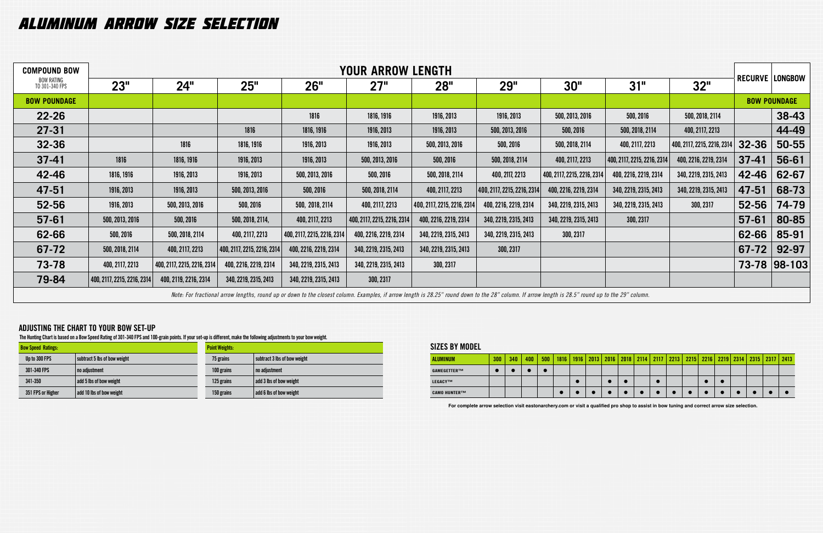| <b>COMPOUND BOW</b>                 |                             |                             |                             |                             | <b>YOUR ARROW LENGTH</b>                                                                                                                                                                           |                             |                             |                             |                             |                             |           |                        |  |  |  |  |  |
|-------------------------------------|-----------------------------|-----------------------------|-----------------------------|-----------------------------|----------------------------------------------------------------------------------------------------------------------------------------------------------------------------------------------------|-----------------------------|-----------------------------|-----------------------------|-----------------------------|-----------------------------|-----------|------------------------|--|--|--|--|--|
| <b>BOW RATING</b><br>TO 301-340 FPS | 23"                         | 24"                         | 25"                         | 26"                         | 27"                                                                                                                                                                                                | 28 <sup>''</sup>            | <b>29"</b>                  | 30"                         | 31"                         | 32"                         |           | <b>RECURVE LONGBOW</b> |  |  |  |  |  |
| <b>BOW POUNDAGE</b>                 |                             |                             |                             |                             |                                                                                                                                                                                                    |                             |                             |                             |                             |                             |           | <b>BOW POUNDAGE</b>    |  |  |  |  |  |
| $22 - 26$                           |                             |                             |                             | 1816                        | 1816, 1916                                                                                                                                                                                         | 1916, 2013                  | 1916, 2013                  | 500, 2013, 2016             | 500, 2016                   | 500, 2018, 2114             |           | 38-43                  |  |  |  |  |  |
| $27 - 31$                           |                             |                             | 1816                        | 1816, 1916                  | 1916, 2013                                                                                                                                                                                         | 1916, 2013                  | 500, 2013, 2016             | 500, 2016                   | 500, 2018, 2114             | 400, 2117, 2213             |           | 44-49                  |  |  |  |  |  |
| 32-36                               |                             | 1816                        | 1816, 1916                  | 1916, 2013                  | 1916, 2013                                                                                                                                                                                         | 500, 2013, 2016             | 500, 2016                   | 500, 2018, 2114             | 400, 2117, 2213             | 400, 2117, 2215, 2216, 2314 | 32-36     | 50-55                  |  |  |  |  |  |
| $37-41$                             | 1816                        | 1816, 1916                  | 1916, 2013                  | 1916, 2013                  | 500, 2013, 2016                                                                                                                                                                                    | 500, 2016                   | 500, 2018, 2114             | 400, 2117, 2213             | 400, 2117, 2215, 2216, 2314 | 400, 2216, 2219, 2314       | $37-41$   | 56-61                  |  |  |  |  |  |
| 42-46                               | 1816, 1916                  | 1916, 2013                  | 1916, 2013                  | 500, 2013, 2016             | 500, 2016                                                                                                                                                                                          | 500, 2018, 2114             | 400, 2117, 2213             | 400, 2117, 2215, 2216, 2314 | 400, 2216, 2219, 2314       | 340, 2219, 2315, 2413       | 42-46     | 62-67                  |  |  |  |  |  |
| 47-51                               | 1916, 2013                  | 1916, 2013                  | 500, 2013, 2016             | 500, 2016                   | 500, 2018, 2114                                                                                                                                                                                    | 400, 2117, 2213             | 400, 2117, 2215, 2216, 2314 | 400, 2216, 2219, 2314       | 340, 2219, 2315, 2413       | 340, 2219, 2315, 2413       | 47-51     | 68-73                  |  |  |  |  |  |
| 52-56                               | 1916, 2013                  | 500, 2013, 2016             | 500, 2016                   | 500, 2018, 2114             | 400, 2117, 2213                                                                                                                                                                                    | 400, 2117, 2215, 2216, 2314 | 400, 2216, 2219, 2314       | 340, 2219, 2315, 2413       | 340, 2219, 2315, 2413       | 300, 2317                   | 52-56     | 74-79                  |  |  |  |  |  |
| $57 - 61$                           | 500, 2013, 2016             | 500, 2016                   | 500, 2018, 2114,            | 400, 2117, 2213             | 400, 2117, 2215, 2216, 2314                                                                                                                                                                        | 400, 2216, 2219, 2314       | 340, 2219, 2315, 2413       | 340, 2219, 2315, 2413       | 300, 2317                   |                             | $57 - 61$ | 80-85                  |  |  |  |  |  |
| 62-66                               | 500, 2016                   | 500, 2018, 2114             | 400, 2117, 2213             | 400, 2117, 2215, 2216, 2314 | 400, 2216, 2219, 2314                                                                                                                                                                              | 340, 2219, 2315, 2413       | 340, 2219, 2315, 2413       | 300, 2317                   |                             |                             | 62-66     | 85-91                  |  |  |  |  |  |
| 67-72                               | 500, 2018, 2114             | 400, 2117, 2213             | 400, 2117, 2215, 2216, 2314 | 400, 2216, 2219, 2314       | 340, 2219, 2315, 2413                                                                                                                                                                              | 340, 2219, 2315, 2413       | 300, 2317                   |                             |                             |                             | 67-72     | 92-97                  |  |  |  |  |  |
| 73-78                               | 400, 2117, 2213             | 400, 2117, 2215, 2216, 2314 | 400, 2216, 2219, 2314       | 340, 2219, 2315, 2413       | 340, 2219, 2315, 2413                                                                                                                                                                              | 300, 2317                   |                             |                             |                             |                             |           | 73-78 98-103           |  |  |  |  |  |
| 79-84                               | 400, 2117, 2215, 2216, 2314 | 400, 2119, 2216, 2314       | 340, 2219, 2315, 2413       | 340, 2219, 2315, 2413       | 300, 2317                                                                                                                                                                                          |                             |                             |                             |                             |                             |           |                        |  |  |  |  |  |
|                                     |                             |                             |                             |                             | Note: For fractional arrow lengths, round up or down to the closest column. Examples, if arrow length is 28.25" round down to the 28" column. If arrow length is 28.5" round up to the 29" column. |                             |                             |                             |                             |                             |           |                        |  |  |  |  |  |

# **SIZES BY MODEL**

| <b>ALUMINUM</b>     | 300 | 340 | 400 | 500 | 1816 | 1916 | 2013 | 2016 | 2018 | 2114 | 2117 | 2213 | 2215 | 2216 | 2219 | 2314 | 2315 | $2317$   2413 |
|---------------------|-----|-----|-----|-----|------|------|------|------|------|------|------|------|------|------|------|------|------|---------------|
| GAMEGETTER™         |     |     |     |     |      |      |      |      |      |      |      |      |      |      |      |      |      |               |
| <b>LEGACY™</b>      |     |     |     |     |      |      |      |      |      |      |      |      |      |      |      |      |      |               |
| <b>CAMO HUNTER™</b> |     |     |     |     |      |      |      |      |      |      |      |      |      |      |      |      |      |               |

# ALUMINUM ARROW SIZE SELECTION

# **ADJUSTING THE CHART TO YOUR BOW SET-UP**

**The Hunting Chart is based on a Bow Speed Rating of 301-340 FPS and 100-grain points. If your set-up is different, make the following adjustments to your bow weight.**

| <b>Bow Speed Ratings:</b> |                              | <b>Point Weights:</b> |                              |
|---------------------------|------------------------------|-----------------------|------------------------------|
| Up to 300 FPS             | subtract 5 lbs of bow weight | 75 grains             | subtract 3 lbs of bow weight |
| 301-340 FPS               | no adjustment                | 100 grains            | no adjustment                |
| 341-350                   | add 5 lbs of bow weight      | 125 grains            | add 3 lbs of bow weight      |
| 351 FPS or Higher         | add 10 lbs of bow weight     | 150 grains            | add 6 lbs of bow weight      |

**For complete arrow selection visit eastonarchery.com or visit a qualified pro shop to assist in bow tuning and correct arrow size selection.**